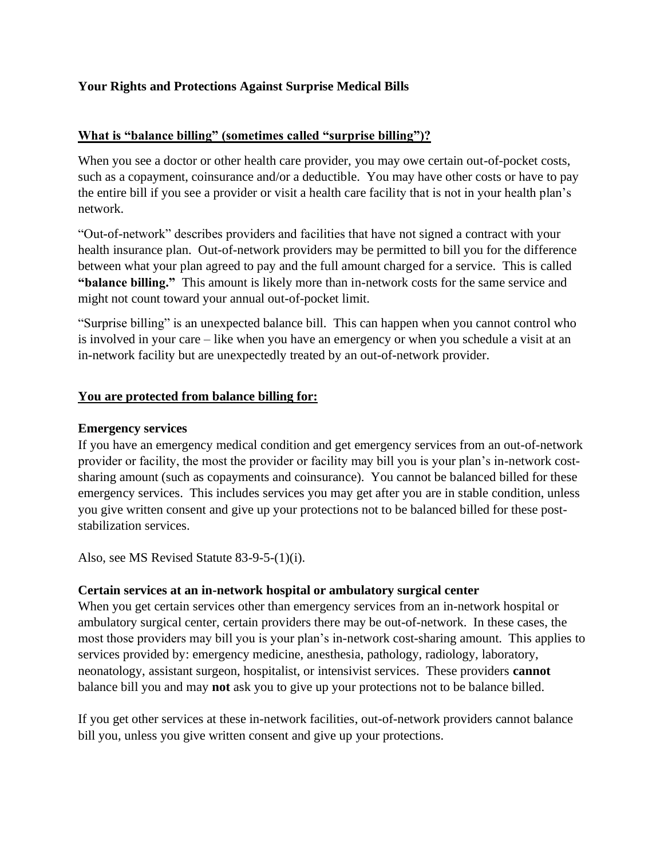# **Your Rights and Protections Against Surprise Medical Bills**

## **What is "balance billing" (sometimes called "surprise billing")?**

When you see a doctor or other health care provider, you may owe certain out-of-pocket costs, such as a copayment, coinsurance and/or a deductible. You may have other costs or have to pay the entire bill if you see a provider or visit a health care facility that is not in your health plan's network.

"Out-of-network" describes providers and facilities that have not signed a contract with your health insurance plan. Out-of-network providers may be permitted to bill you for the difference between what your plan agreed to pay and the full amount charged for a service. This is called **"balance billing."** This amount is likely more than in-network costs for the same service and might not count toward your annual out-of-pocket limit.

"Surprise billing" is an unexpected balance bill. This can happen when you cannot control who is involved in your care – like when you have an emergency or when you schedule a visit at an in-network facility but are unexpectedly treated by an out-of-network provider.

## **You are protected from balance billing for:**

#### **Emergency services**

If you have an emergency medical condition and get emergency services from an out-of-network provider or facility, the most the provider or facility may bill you is your plan's in-network costsharing amount (such as copayments and coinsurance). You cannot be balanced billed for these emergency services. This includes services you may get after you are in stable condition, unless you give written consent and give up your protections not to be balanced billed for these poststabilization services.

Also, see MS Revised Statute 83-9-5-(1)(i).

#### **Certain services at an in-network hospital or ambulatory surgical center**

When you get certain services other than emergency services from an in-network hospital or ambulatory surgical center, certain providers there may be out-of-network. In these cases, the most those providers may bill you is your plan's in-network cost-sharing amount. This applies to services provided by: emergency medicine, anesthesia, pathology, radiology, laboratory, neonatology, assistant surgeon, hospitalist, or intensivist services. These providers **cannot** balance bill you and may **not** ask you to give up your protections not to be balance billed.

If you get other services at these in-network facilities, out-of-network providers cannot balance bill you, unless you give written consent and give up your protections.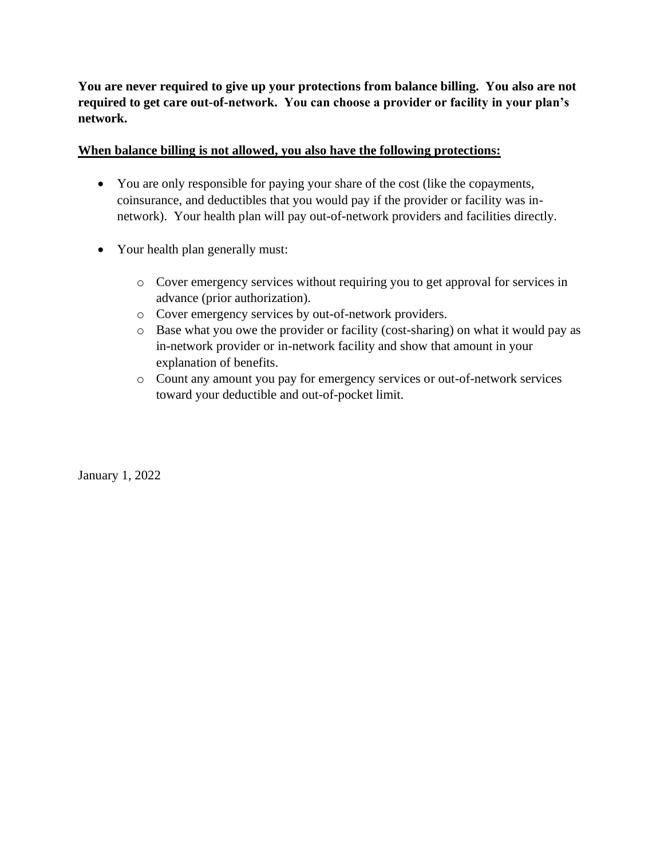**You are never required to give up your protections from balance billing. You also are not required to get care out-of-network. You can choose a provider or facility in your plan's network.** 

## **When balance billing is not allowed, you also have the following protections:**

- You are only responsible for paying your share of the cost (like the copayments, coinsurance, and deductibles that you would pay if the provider or facility was innetwork). Your health plan will pay out-of-network providers and facilities directly.
- Your health plan generally must:
	- o Cover emergency services without requiring you to get approval for services in advance (prior authorization).
	- o Cover emergency services by out-of-network providers.
	- o Base what you owe the provider or facility (cost-sharing) on what it would pay as in-network provider or in-network facility and show that amount in your explanation of benefits.
	- o Count any amount you pay for emergency services or out-of-network services toward your deductible and out-of-pocket limit.

January 1, 2022